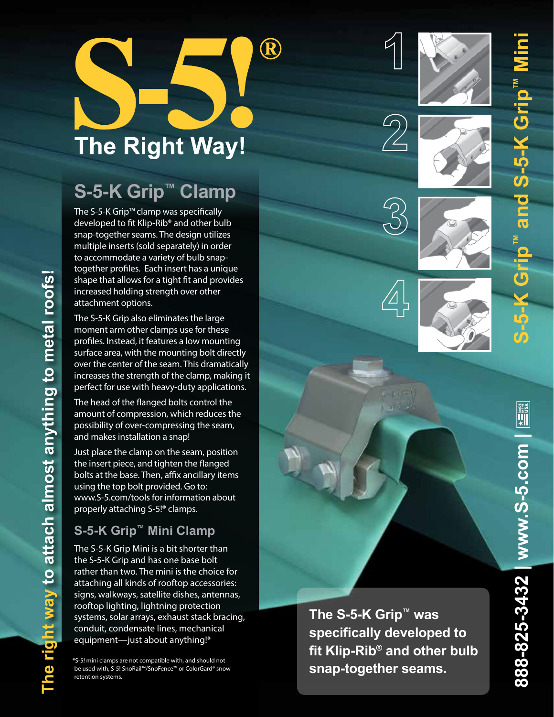# **The Right Way!**

 $\bigcirc\hspace{-0.35mm}\bigcirc$ 

# **S-5-K Grip ™ Clamp**

The S-5-K Grip™ clamp was specifically developed to fit Klip-Rib® and other bulb snap-together seams. The design utilizes multiple inserts (sold separately) in order to accommodate a variety of bulb snaptogether profiles. Each insert has a unique shape that allows for a tight fit and provides increased holding strength over other attachment options.

The S-5-K Grip also eliminates the large moment arm other clamps use for these profiles. Instead, it features a low mounting surface area, with the mounting bolt directly over the center of the seam. This dramatically increases the strength of the clamp, making it perfect for use with heavy-duty applications.

The head of the flanged bolts control the amount of compression, which reduces the possibility of over-compressing the seam, and makes installation a snap!

Just place the clamp on the seam, position the insert piece, and tighten the flanged bolts at the base. Then, affix ancillary items using the top bolt provided. Go to: www.S-5.com/tools for information about properly attaching S-5!® clamps.

## **S-5-K Grip ™ Mini Clamp**

**The right way to attach almost anything to metal roofs!** 

The right way to attach almost anything to metal roofs!

The S-5-K Grip Mini is a bit shorter than the S-5-K Grip and has one base bolt rather than two. The mini is the choice for attaching all kinds of rooftop accessories: signs, walkways, satellite dishes, antennas, rooftop lighting, lightning protection systems, solar arrays, exhaust stack bracing, conduit, condensate lines, mechanical equipment—just about anything!\*

\*S-5! mini clamps are not compatible with, and should not be used with, S-5! SnoRail™/SnoFence™ or ColorGard® snow retention systems.





**S-5-K Grip™ and S-5-K Grip™ Mini**

Grip and S-5-K Grip







**The S-5-K Grip ™ was specifically developed to fit Klip-Rib ® and other bulb snap-together seams.**